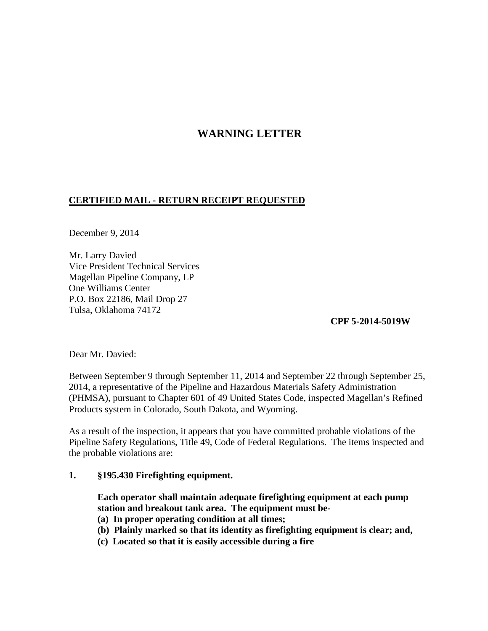## **WARNING LETTER**

## **CERTIFIED MAIL - RETURN RECEIPT REQUESTED**

December 9, 2014

Mr. Larry Davied Vice President Technical Services Magellan Pipeline Company, LP One Williams Center P.O. Box 22186, Mail Drop 27 Tulsa, Oklahoma 74172

**CPF 5-2014-5019W** 

Dear Mr. Davied:

Between September 9 through September 11, 2014 and September 22 through September 25, 2014, a representative of the Pipeline and Hazardous Materials Safety Administration (PHMSA), pursuant to Chapter 601 of 49 United States Code, inspected Magellan's Refined Products system in Colorado, South Dakota, and Wyoming.

As a result of the inspection, it appears that you have committed probable violations of the Pipeline Safety Regulations, Title 49, Code of Federal Regulations. The items inspected and the probable violations are:

## **1. §195.430 Firefighting equipment.**

**Each operator shall maintain adequate firefighting equipment at each pump station and breakout tank area. The equipment must be-** 

- **(a) In proper operating condition at all times;**
- **(b) Plainly marked so that its identity as firefighting equipment is clear; and,**
- **(c) Located so that it is easily accessible during a fire**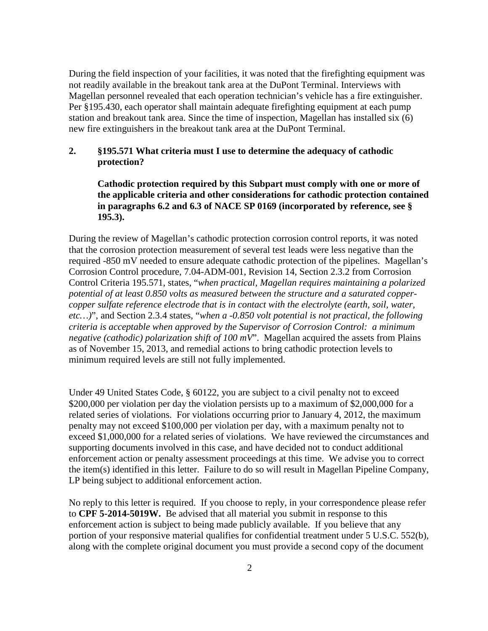During the field inspection of your facilities, it was noted that the firefighting equipment was not readily available in the breakout tank area at the DuPont Terminal. Interviews with Magellan personnel revealed that each operation technician's vehicle has a fire extinguisher. Per §195.430, each operator shall maintain adequate firefighting equipment at each pump station and breakout tank area. Since the time of inspection, Magellan has installed six (6) new fire extinguishers in the breakout tank area at the DuPont Terminal.

## **2. §195.571 What criteria must I use to determine the adequacy of cathodic protection?**

**Cathodic protection required by this Subpart must comply with one or more of the applicable criteria and other considerations for cathodic protection contained in paragraphs 6.2 and 6.3 of NACE SP 0169 (incorporated by reference, see § 195.3).** 

During the review of Magellan's cathodic protection corrosion control reports, it was noted that the corrosion protection measurement of several test leads were less negative than the required -850 mV needed to ensure adequate cathodic protection of the pipelines. Magellan's Corrosion Control procedure, 7.04-ADM-001, Revision 14, Section 2.3.2 from Corrosion Control Criteria 195.571, states, "*when practical, Magellan requires maintaining a polarized potential of at least 0.850 volts as measured between the structure and a saturated coppercopper sulfate reference electrode that is in contact with the electrolyte (earth, soil, water, etc…)*", and Section 2.3.4 states, "*when a -0.850 volt potential is not practical, the following criteria is acceptable when approved by the Supervisor of Corrosion Control: a minimum negative (cathodic) polarization shift of 100 mV*". Magellan acquired the assets from Plains as of November 15, 2013, and remedial actions to bring cathodic protection levels to minimum required levels are still not fully implemented.

Under 49 United States Code, § 60122, you are subject to a civil penalty not to exceed \$200,000 per violation per day the violation persists up to a maximum of \$2,000,000 for a related series of violations. For violations occurring prior to January 4, 2012, the maximum penalty may not exceed \$100,000 per violation per day, with a maximum penalty not to exceed \$1,000,000 for a related series of violations. We have reviewed the circumstances and supporting documents involved in this case, and have decided not to conduct additional enforcement action or penalty assessment proceedings at this time. We advise you to correct the item(s) identified in this letter. Failure to do so will result in Magellan Pipeline Company, LP being subject to additional enforcement action.

No reply to this letter is required. If you choose to reply, in your correspondence please refer to **CPF 5-2014-5019W.** Be advised that all material you submit in response to this enforcement action is subject to being made publicly available. If you believe that any portion of your responsive material qualifies for confidential treatment under 5 U.S.C. 552(b), along with the complete original document you must provide a second copy of the document